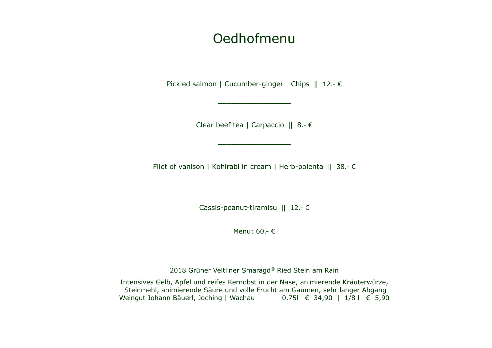# Oedhofmenu

Pickled salmon | Cucumber-ginger | Chips || 12.- €

\_\_\_\_\_\_\_\_\_\_\_\_\_\_\_\_\_

Clear beef tea | Carpaccio || 8.- €

\_\_\_\_\_\_\_\_\_\_\_\_\_\_\_\_\_

Filet of vanison | Kohlrabi in cream | Herb-polenta || 38.- €

\_\_\_\_\_\_\_\_\_\_\_\_\_\_\_\_\_

Cassis-peanut-tiramisu || 12.- €

Menu: 60.- €

2018 Grüner Veltliner Smaragd® Ried Stein am Rain

Intensives Gelb, Apfel und reifes Kernobst in der Nase, animierende Kräuterwürze, Steinmehl, animierende Säure und volle Frucht am Gaumen, sehr langer Abgang Weingut Johann Bäuerl, Joching | Wachau 0,75l € 34,90 | 1/8 l € 5,90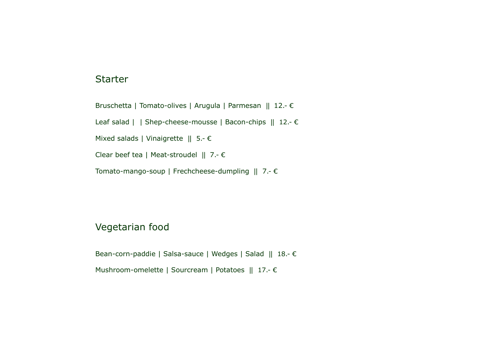### **Starter**

Bruschetta | Tomato-olives | Arugula | Parmesan || 12.- €

Leaf salad | | Shep-cheese-mousse | Bacon-chips || 12.- €

Mixed salads | Vinaigrette  $|| 5. - \epsilon$ 

Clear beef tea | Meat-stroudel || 7.- €

Tomato-mango-soup | Frechcheese-dumpling || 7.- €

## Vegetarian food

Bean-corn-paddie | Salsa-sauce | Wedges | Salad || 18.- € Mushroom-omelette | Sourcream | Potatoes || 17.- €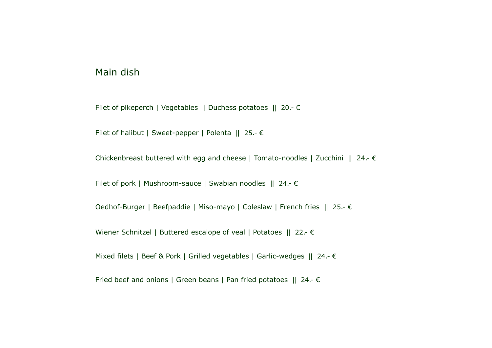### Main dish

Filet of pikeperch | Vegetables | Duchess potatoes || 20.- €

Filet of halibut | Sweet-pepper | Polenta || 25.- €

Chickenbreast buttered with egg and cheese | Tomato-noodles | Zucchini || 24.- €

Filet of pork | Mushroom-sauce | Swabian noodles || 24.- €

Oedhof-Burger | Beefpaddie | Miso-mayo | Coleslaw | French fries || 25.- €

Wiener Schnitzel | Buttered escalope of veal | Potatoes || 22.- €

Mixed filets | Beef & Pork | Grilled vegetables | Garlic-wedges || 24.- €

Fried beef and onions | Green beans | Pan fried potatoes || 24.- €